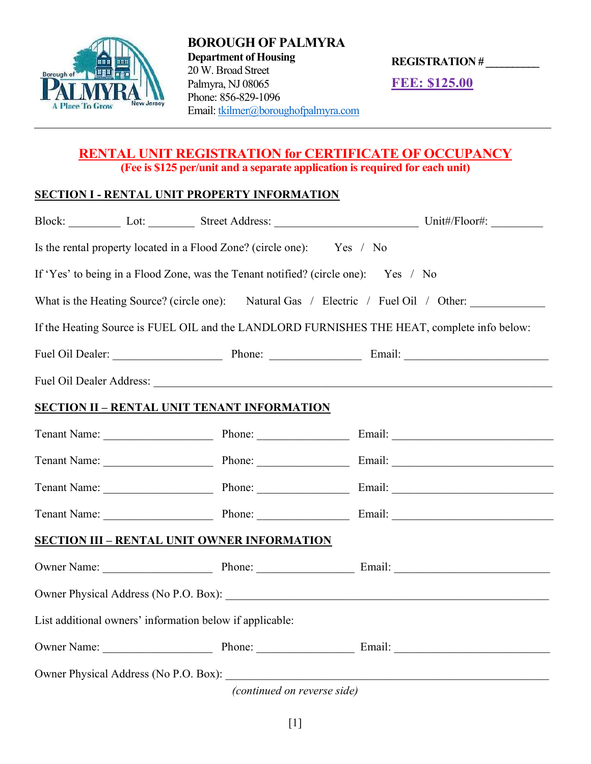

BOROUGH OF PALMYRA Department of Housing 20 W. Broad Street Palmyra, NJ 08065 Phone: 856-829-1096 Email: tkilmer@boroughofpalmyra.com

REGISTRATION # \_\_\_\_\_\_\_\_\_\_

FEE: \$125.00

## RENTAL UNIT REGISTRATION for CERTIFICATE OF OCCUPANCY (Fee is \$125 per/unit and a separate application is required for each unit)

#### SECTION I - RENTAL UNIT PROPERTY INFORMATION

|                                                                                                                                                                                                                                |  |  | Block: Lot: Lot: Street Address: Unit#/Floor#: |  |  |
|--------------------------------------------------------------------------------------------------------------------------------------------------------------------------------------------------------------------------------|--|--|------------------------------------------------|--|--|
| Is the rental property located in a Flood Zone? (circle one): Yes / No                                                                                                                                                         |  |  |                                                |  |  |
| If 'Yes' to being in a Flood Zone, was the Tenant notified? (circle one): Yes / No                                                                                                                                             |  |  |                                                |  |  |
| What is the Heating Source? (circle one): Natural Gas / Electric / Fuel Oil / Other:                                                                                                                                           |  |  |                                                |  |  |
| If the Heating Source is FUEL OIL and the LANDLORD FURNISHES THE HEAT, complete info below:                                                                                                                                    |  |  |                                                |  |  |
|                                                                                                                                                                                                                                |  |  | Fuel Oil Dealer: Phone: Email: Email:          |  |  |
| Fuel Oil Dealer Address: No. 1998. The Commission of the Commission of the Commission of the Commission of the Commission of the Commission of the Commission of the Commission of the Commission of the Commission of the Com |  |  |                                                |  |  |
| <b>SECTION II - RENTAL UNIT TENANT INFORMATION</b>                                                                                                                                                                             |  |  |                                                |  |  |
|                                                                                                                                                                                                                                |  |  | Tenant Name: Phone: Phone: Email: Email:       |  |  |
|                                                                                                                                                                                                                                |  |  | Tenant Name: Phone: Phone: Email: Email:       |  |  |
|                                                                                                                                                                                                                                |  |  | Tenant Name: Phone: Phone: Email: Email:       |  |  |
|                                                                                                                                                                                                                                |  |  | Tenant Name: Phone: Phone: Email: Email:       |  |  |
| <b>SECTION III - RENTAL UNIT OWNER INFORMATION</b>                                                                                                                                                                             |  |  |                                                |  |  |
|                                                                                                                                                                                                                                |  |  |                                                |  |  |
|                                                                                                                                                                                                                                |  |  |                                                |  |  |
| List additional owners' information below if applicable:                                                                                                                                                                       |  |  |                                                |  |  |
|                                                                                                                                                                                                                                |  |  | Owner Name: Phone: Phone: Email: Email:        |  |  |
|                                                                                                                                                                                                                                |  |  |                                                |  |  |

(continued on reverse side)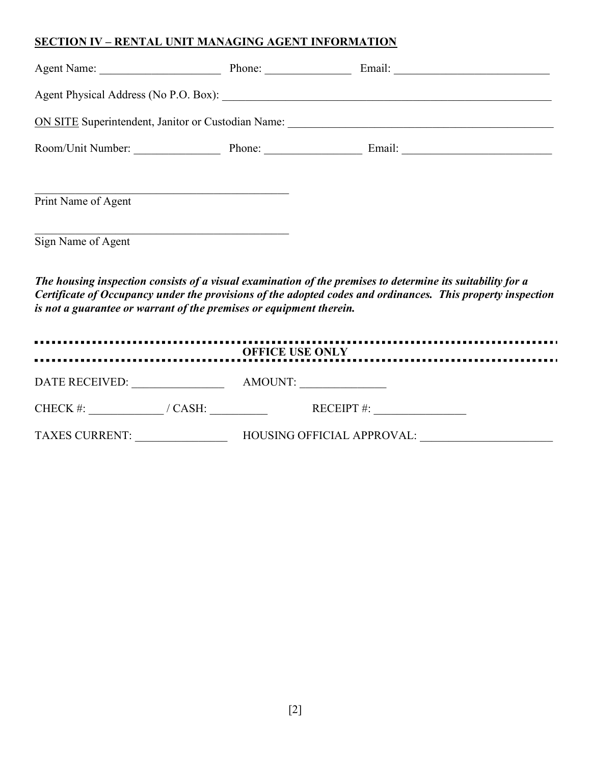### SECTION IV – RENTAL UNIT MANAGING AGENT INFORMATION

| Agent Name:                                        | Phone:                 |  |  |  |  |  |
|----------------------------------------------------|------------------------|--|--|--|--|--|
|                                                    |                        |  |  |  |  |  |
| ON SITE Superintendent, Janitor or Custodian Name: |                        |  |  |  |  |  |
| Room/Unit Number:                                  | Phone: $\qquad \qquad$ |  |  |  |  |  |
|                                                    |                        |  |  |  |  |  |
| Print Name of Agent                                |                        |  |  |  |  |  |
| Sign Name of Agent                                 |                        |  |  |  |  |  |
|                                                    |                        |  |  |  |  |  |

The housing inspection consists of a visual examination of the premises to determine its suitability for a Certificate of Occupancy under the provisions of the adopted codes and ordinances. This property inspection is not a guarantee or warrant of the premises or equipment therein.

| <b>OFFICE USE ONLY</b> |                                   |  |  |  |  |
|------------------------|-----------------------------------|--|--|--|--|
| <b>DATE RECEIVED:</b>  | AMOUNT:                           |  |  |  |  |
| CHECK #:<br>/ $CASH:$  | RECEIPT $#$ :                     |  |  |  |  |
| <b>TAXES CURRENT:</b>  | <b>HOUSING OFFICIAL APPROVAL:</b> |  |  |  |  |